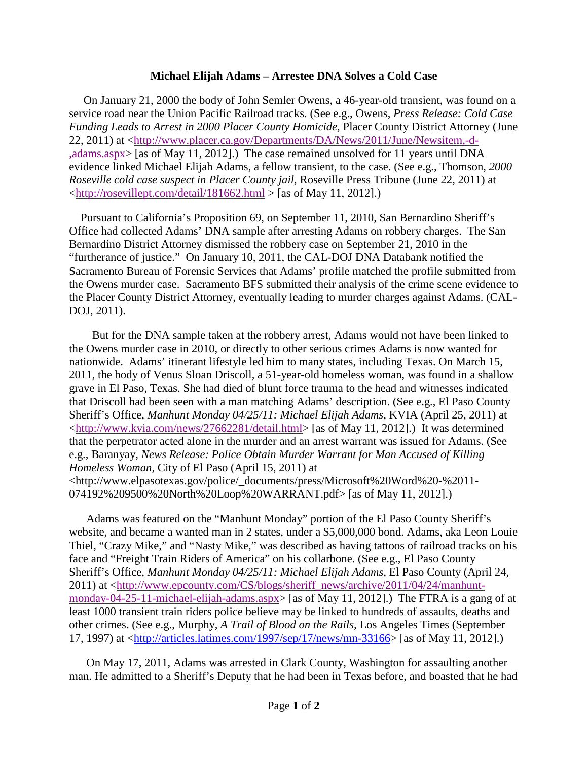## **Michael Elijah Adams – Arrestee DNA Solves a Cold Case**

 On January 21, 2000 the body of John Semler Owens, a 46-year-old transient, was found on a service road near the Union Pacific Railroad tracks. (See e.g., Owens, *Press Release: Cold Case Funding Leads to Arrest in 2000 Placer County Homicide,* Placer County District Attorney (June 22, 2011) at [<http://www.placer.ca.gov/Departments/DA/News/2011/June/Newsitem,-d-](http://www.placer.ca.gov/Departments/DA/News/2011/June/Newsitem,-d-,adams.aspx) [,adams.aspx>](http://www.placer.ca.gov/Departments/DA/News/2011/June/Newsitem,-d-,adams.aspx) [as of May 11, 2012].) The case remained unsolved for 11 years until DNA evidence linked Michael Elijah Adams, a fellow transient, to the case. (See e.g., Thomson, *2000 Roseville cold case suspect in Placer County jail*, Roseville Press Tribune (June 22, 2011) at  $\langle$ http://rosevillept.com/detail/181662.html > [as of May 11, 2012].)

 Pursuant to California's Proposition 69, on September 11, 2010, San Bernardino Sheriff's Office had collected Adams' DNA sample after arresting Adams on robbery charges. The San Bernardino District Attorney dismissed the robbery case on September 21, 2010 in the "furtherance of justice." On January 10, 2011, the CAL-DOJ DNA Databank notified the Sacramento Bureau of Forensic Services that Adams' profile matched the profile submitted from the Owens murder case. Sacramento BFS submitted their analysis of the crime scene evidence to the Placer County District Attorney, eventually leading to murder charges against Adams. (CAL-DOJ, 2011).

 But for the DNA sample taken at the robbery arrest, Adams would not have been linked to the Owens murder case in 2010, or directly to other serious crimes Adams is now wanted for nationwide. Adams' itinerant lifestyle led him to many states, including Texas. On March 15, 2011, the body of Venus Sloan Driscoll, a 51-year-old homeless woman, was found in a shallow grave in El Paso, Texas. She had died of blunt force trauma to the head and witnesses indicated that Driscoll had been seen with a man matching Adams' description. (See e.g., El Paso County Sheriff's Office, *Manhunt Monday 04/25/11: Michael Elijah Adams*, KVIA (April 25, 2011) at [<http://www.kvia.com/news/27662281/detail.html>](http://www.kvia.com/news/27662281/detail.html) [as of May 11, 2012].) It was determined that the perpetrator acted alone in the murder and an arrest warrant was issued for Adams. (See e.g., Baranyay, *News Release: Police Obtain Murder Warrant for Man Accused of Killing Homeless Woman,* City of El Paso (April 15, 2011) at <http://www.elpasotexas.gov/police/\_documents/press/Microsoft%20Word%20-%2011- 074192%209500%20North%20Loop%20WARRANT.pdf> [as of May 11, 2012].)

Adams was featured on the "Manhunt Monday" portion of the El Paso County Sheriff's website, and became a wanted man in 2 states, under a \$5,000,000 bond. Adams, aka Leon Louie Thiel, "Crazy Mike," and "Nasty Mike," was described as having tattoos of railroad tracks on his face and "Freight Train Riders of America" on his collarbone. (See e.g., El Paso County Sheriff's Office, *Manhunt Monday 04/25/11: Michael Elijah Adams,* El Paso County (April 24, 2011) at [<http://www.epcounty.com/CS/blogs/sheriff\\_news/archive/2011/04/24/manhunt](http://www.epcounty.com/CS/blogs/sheriff_news/archive/2011/04/24/manhunt-monday-04-25-11-michael-elijah-adams.aspx)[monday-04-25-11-michael-elijah-adams.aspx>](http://www.epcounty.com/CS/blogs/sheriff_news/archive/2011/04/24/manhunt-monday-04-25-11-michael-elijah-adams.aspx) [as of May 11, 2012].) The FTRA is a gang of at least 1000 transient train riders police believe may be linked to hundreds of assaults, deaths and other crimes. (See e.g., Murphy, *A Trail of Blood on the Rails,* Los Angeles Times (September 17, 1997) at [<http://articles.latimes.com/1997/sep/17/news/mn-33166>](http://articles.latimes.com/1997/sep/17/news/mn-33166) [as of May 11, 2012].)

On May 17, 2011, Adams was arrested in Clark County, Washington for assaulting another man. He admitted to a Sheriff's Deputy that he had been in Texas before, and boasted that he had